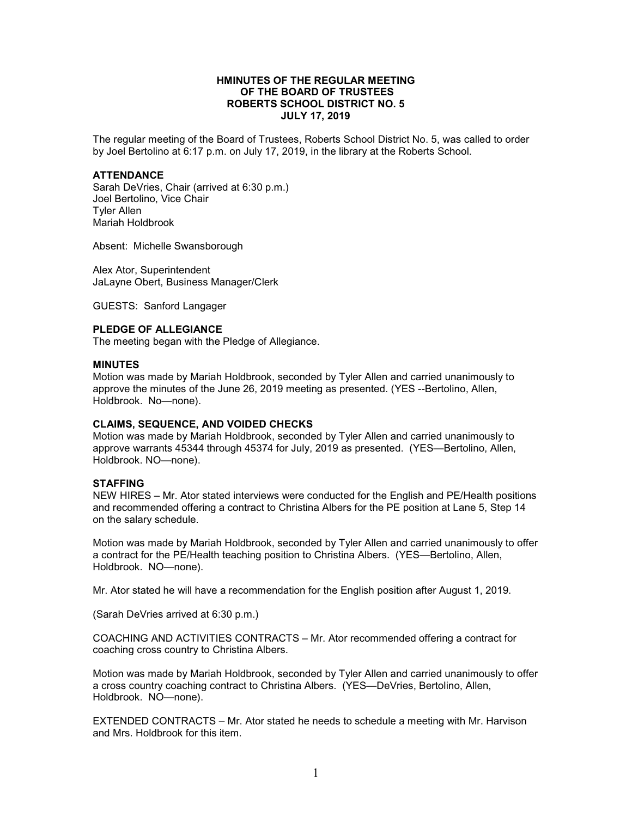# **HMINUTES OF THE REGULAR MEETING OF THE BOARD OF TRUSTEES ROBERTS SCHOOL DISTRICT NO. 5 JULY 17, 2019**

The regular meeting of the Board of Trustees, Roberts School District No. 5, was called to order by Joel Bertolino at 6:17 p.m. on July 17, 2019, in the library at the Roberts School.

## **ATTENDANCE**

Sarah DeVries, Chair (arrived at 6:30 p.m.) Joel Bertolino, Vice Chair Tyler Allen Mariah Holdbrook

Absent: Michelle Swansborough

Alex Ator, Superintendent JaLayne Obert, Business Manager/Clerk

GUESTS: Sanford Langager

#### **PLEDGE OF ALLEGIANCE**

The meeting began with the Pledge of Allegiance.

#### **MINUTES**

Motion was made by Mariah Holdbrook, seconded by Tyler Allen and carried unanimously to approve the minutes of the June 26, 2019 meeting as presented. (YES --Bertolino, Allen, Holdbrook. No—none).

#### **CLAIMS, SEQUENCE, AND VOIDED CHECKS**

Motion was made by Mariah Holdbrook, seconded by Tyler Allen and carried unanimously to approve warrants 45344 through 45374 for July, 2019 as presented. (YES—Bertolino, Allen, Holdbrook. NO—none).

#### **STAFFING**

NEW HIRES – Mr. Ator stated interviews were conducted for the English and PE/Health positions and recommended offering a contract to Christina Albers for the PE position at Lane 5, Step 14 on the salary schedule.

Motion was made by Mariah Holdbrook, seconded by Tyler Allen and carried unanimously to offer a contract for the PE/Health teaching position to Christina Albers. (YES—Bertolino, Allen, Holdbrook. NO—none).

Mr. Ator stated he will have a recommendation for the English position after August 1, 2019.

(Sarah DeVries arrived at 6:30 p.m.)

COACHING AND ACTIVITIES CONTRACTS – Mr. Ator recommended offering a contract for coaching cross country to Christina Albers.

Motion was made by Mariah Holdbrook, seconded by Tyler Allen and carried unanimously to offer a cross country coaching contract to Christina Albers. (YES—DeVries, Bertolino, Allen, Holdbrook. NO—none).

EXTENDED CONTRACTS – Mr. Ator stated he needs to schedule a meeting with Mr. Harvison and Mrs. Holdbrook for this item.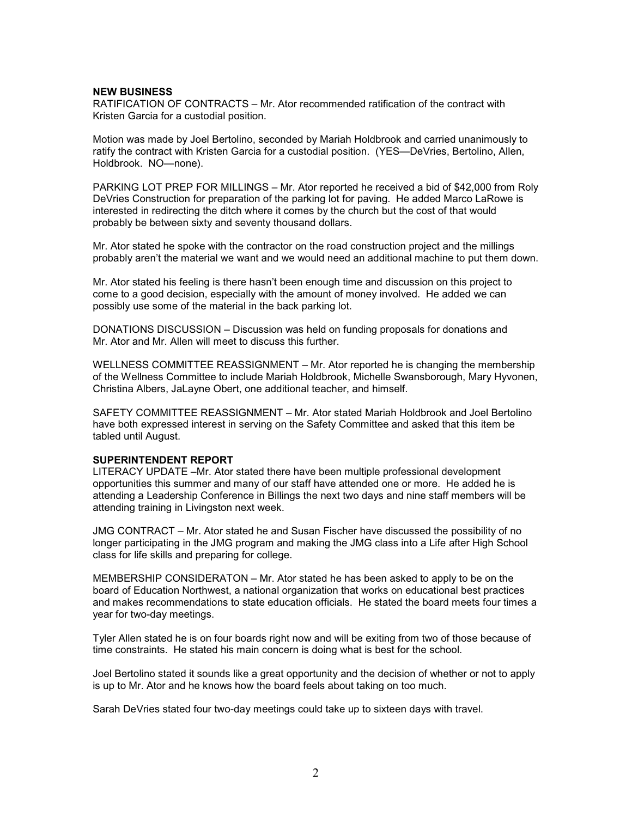# **NEW BUSINESS**

RATIFICATION OF CONTRACTS – Mr. Ator recommended ratification of the contract with Kristen Garcia for a custodial position.

Motion was made by Joel Bertolino, seconded by Mariah Holdbrook and carried unanimously to ratify the contract with Kristen Garcia for a custodial position. (YES—DeVries, Bertolino, Allen, Holdbrook. NO—none).

PARKING LOT PREP FOR MILLINGS – Mr. Ator reported he received a bid of \$42,000 from Roly DeVries Construction for preparation of the parking lot for paving. He added Marco LaRowe is interested in redirecting the ditch where it comes by the church but the cost of that would probably be between sixty and seventy thousand dollars.

Mr. Ator stated he spoke with the contractor on the road construction project and the millings probably aren't the material we want and we would need an additional machine to put them down.

Mr. Ator stated his feeling is there hasn't been enough time and discussion on this project to come to a good decision, especially with the amount of money involved. He added we can possibly use some of the material in the back parking lot.

DONATIONS DISCUSSION – Discussion was held on funding proposals for donations and Mr. Ator and Mr. Allen will meet to discuss this further.

WELLNESS COMMITTEE REASSIGNMENT – Mr. Ator reported he is changing the membership of the Wellness Committee to include Mariah Holdbrook, Michelle Swansborough, Mary Hyvonen, Christina Albers, JaLayne Obert, one additional teacher, and himself.

SAFETY COMMITTEE REASSIGNMENT – Mr. Ator stated Mariah Holdbrook and Joel Bertolino have both expressed interest in serving on the Safety Committee and asked that this item be tabled until August.

## **SUPERINTENDENT REPORT**

LITERACY UPDATE –Mr. Ator stated there have been multiple professional development opportunities this summer and many of our staff have attended one or more. He added he is attending a Leadership Conference in Billings the next two days and nine staff members will be attending training in Livingston next week.

JMG CONTRACT – Mr. Ator stated he and Susan Fischer have discussed the possibility of no longer participating in the JMG program and making the JMG class into a Life after High School class for life skills and preparing for college.

MEMBERSHIP CONSIDERATON – Mr. Ator stated he has been asked to apply to be on the board of Education Northwest, a national organization that works on educational best practices and makes recommendations to state education officials. He stated the board meets four times a year for two-day meetings.

Tyler Allen stated he is on four boards right now and will be exiting from two of those because of time constraints. He stated his main concern is doing what is best for the school.

Joel Bertolino stated it sounds like a great opportunity and the decision of whether or not to apply is up to Mr. Ator and he knows how the board feels about taking on too much.

Sarah DeVries stated four two-day meetings could take up to sixteen days with travel.